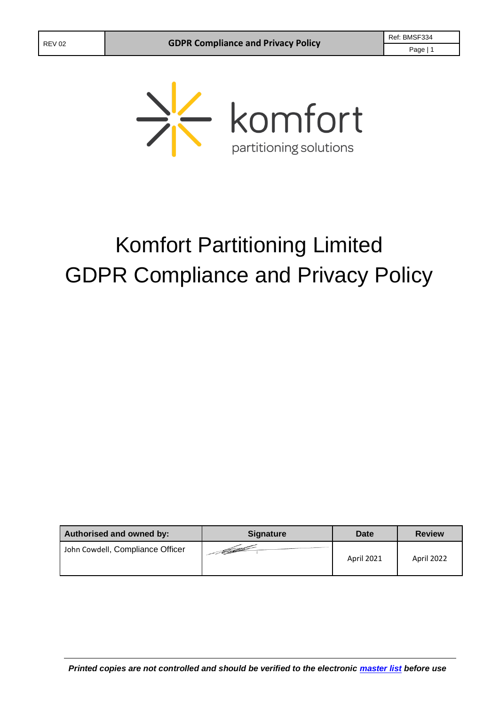

# Komfort Partitioning Limited GDPR Compliance and Privacy Policy

| Authorised and owned by:         | <b>Signature</b>       | Date              | <b>Review</b> |
|----------------------------------|------------------------|-------------------|---------------|
| John Cowdell, Compliance Officer | - Februar 1980<br>1980 | <b>April 2021</b> | April 2022    |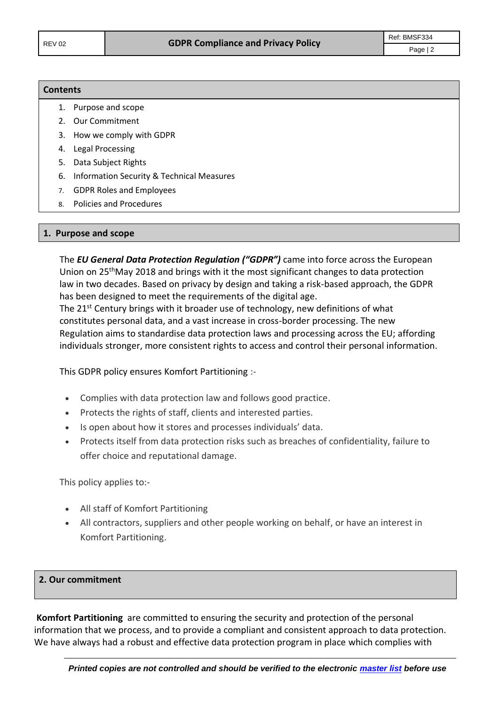# **Contents** 1. Purpose and scope 2. Our Commitment 3. How we comply with GDPR 4. Legal Processing 5. Data Subject Rights 6. Information Security & Technical Measures 7. GDPR Roles and Employees 8. Policies and Procedures

#### **1. Purpose and scope**

The *EU General Data Protection Regulation ("GDPR")* came into force across the European Union on 25<sup>th</sup>May 2018 and brings with it the most significant changes to data protection law in two decades. Based on privacy by design and taking a risk-based approach, the GDPR has been designed to meet the requirements of the digital age. The 21<sup>st</sup> Century brings with it broader use of technology, new definitions of what

constitutes personal data, and a vast increase in cross-border processing. The new Regulation aims to standardise data protection laws and processing across the EU; affording individuals stronger, more consistent rights to access and control their personal information.

This GDPR policy ensures Komfort Partitioning :-

- Complies with data protection law and follows good practice.
- Protects the rights of staff, clients and interested parties.
- Is open about how it stores and processes individuals' data.
- Protects itself from data protection risks such as breaches of confidentiality, failure to offer choice and reputational damage.

This policy applies to:-

- All staff of Komfort Partitioning
- All contractors, suppliers and other people working on behalf, or have an interest in Komfort Partitioning.

#### **2. Our commitment**

**Komfort Partitioning** are committed to ensuring the security and protection of the personal information that we process, and to provide a compliant and consistent approach to data protection. We have always had a robust and effective data protection program in place which complies with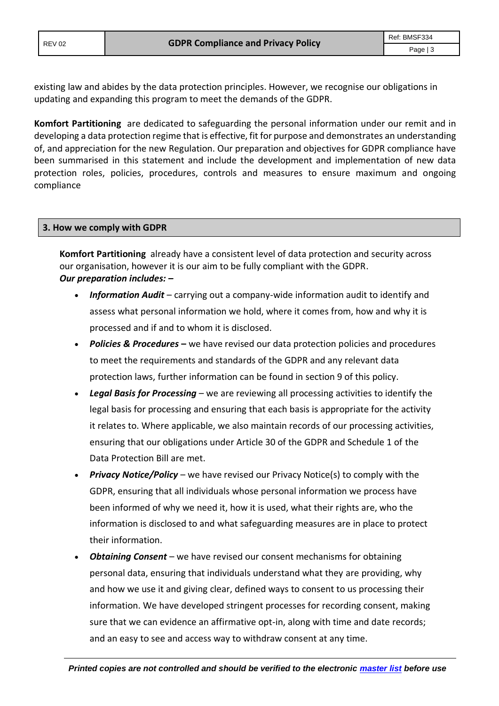existing law and abides by the data protection principles. However, we recognise our obligations in updating and expanding this program to meet the demands of the GDPR.

**Komfort Partitioning** are dedicated to safeguarding the personal information under our remit and in developing a data protection regime that is effective, fit for purpose and demonstrates an understanding of, and appreciation for the new Regulation. Our preparation and objectives for GDPR compliance have been summarised in this statement and include the development and implementation of new data protection roles, policies, procedures, controls and measures to ensure maximum and ongoing compliance

### **3. How we comply with GDPR**

**Komfort Partitioning** already have a consistent level of data protection and security across our organisation, however it is our aim to be fully compliant with the GDPR. *Our preparation includes: –*

- *Information Audit* carrying out a company-wide information audit to identify and assess what personal information we hold, where it comes from, how and why it is processed and if and to whom it is disclosed.
- *Policies & Procedures* **–** we have revised our data protection policies and procedures to meet the requirements and standards of the GDPR and any relevant data protection laws, further information can be found in section 9 of this policy.
- *Legal Basis for Processing* we are reviewing all processing activities to identify the legal basis for processing and ensuring that each basis is appropriate for the activity it relates to. Where applicable, we also maintain records of our processing activities, ensuring that our obligations under Article 30 of the GDPR and Schedule 1 of the Data Protection Bill are met.
- *Privacy Notice/Policy* we have revised our Privacy Notice(s) to comply with the GDPR, ensuring that all individuals whose personal information we process have been informed of why we need it, how it is used, what their rights are, who the information is disclosed to and what safeguarding measures are in place to protect their information.
- *Obtaining Consent* we have revised our consent mechanisms for obtaining personal data, ensuring that individuals understand what they are providing, why and how we use it and giving clear, defined ways to consent to us processing their information. We have developed stringent processes for recording consent, making sure that we can evidence an affirmative opt-in, along with time and date records; and an easy to see and access way to withdraw consent at any time.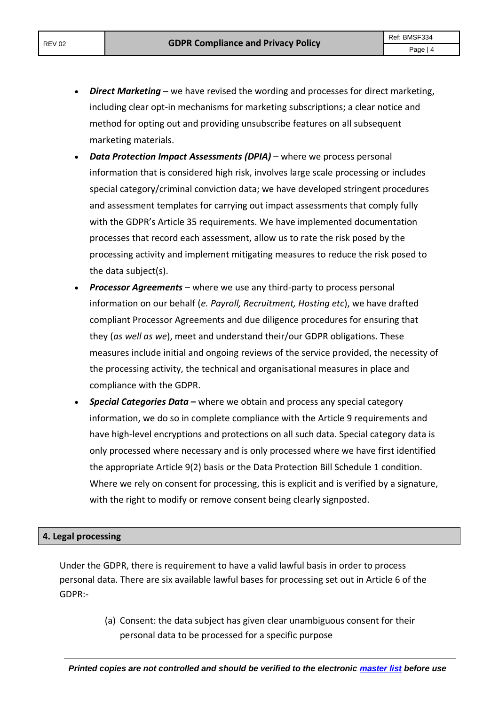- *Direct Marketing* we have revised the wording and processes for direct marketing, including clear opt-in mechanisms for marketing subscriptions; a clear notice and method for opting out and providing unsubscribe features on all subsequent marketing materials.
- *Data Protection Impact Assessments (DPIA)* where we process personal information that is considered high risk, involves large scale processing or includes special category/criminal conviction data; we have developed stringent procedures and assessment templates for carrying out impact assessments that comply fully with the GDPR's Article 35 requirements. We have implemented documentation processes that record each assessment, allow us to rate the risk posed by the processing activity and implement mitigating measures to reduce the risk posed to the data subject(s).
- *Processor Agreements* where we use any third-party to process personal information on our behalf (*e. Payroll, Recruitment, Hosting etc*), we have drafted compliant Processor Agreements and due diligence procedures for ensuring that they (*as well as we*), meet and understand their/our GDPR obligations. These measures include initial and ongoing reviews of the service provided, the necessity of the processing activity, the technical and organisational measures in place and compliance with the GDPR.
- *Special Categories Data* **–** where we obtain and process any special category information, we do so in complete compliance with the Article 9 requirements and have high-level encryptions and protections on all such data. Special category data is only processed where necessary and is only processed where we have first identified the appropriate Article 9(2) basis or the Data Protection Bill Schedule 1 condition. Where we rely on consent for processing, this is explicit and is verified by a signature, with the right to modify or remove consent being clearly signposted.

# **4. Legal processing**

Under the GDPR, there is requirement to have a valid lawful basis in order to process personal data. There are six available lawful bases for processing set out in Article 6 of the GDPR:-

> (a) Consent: the data subject has given clear unambiguous consent for their personal data to be processed for a specific purpose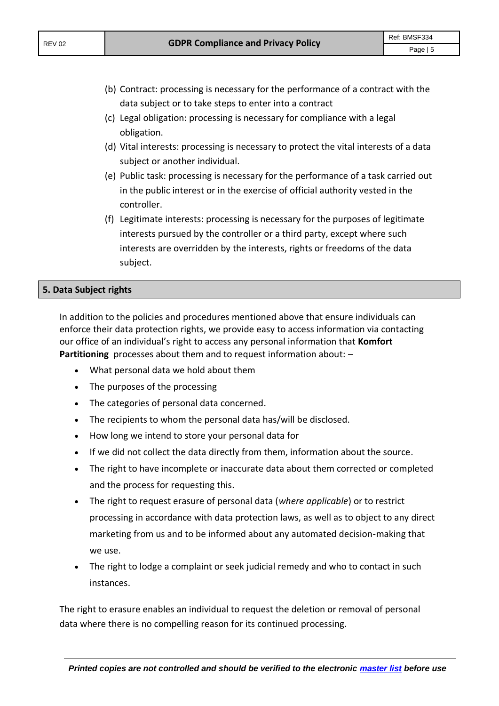- (b) Contract: processing is necessary for the performance of a contract with the data subject or to take steps to enter into a contract
- (c) Legal obligation: processing is necessary for compliance with a legal obligation.
- (d) Vital interests: processing is necessary to protect the vital interests of a data subject or another individual.
- (e) Public task: processing is necessary for the performance of a task carried out in the public interest or in the exercise of official authority vested in the controller.
- (f) Legitimate interests: processing is necessary for the purposes of legitimate interests pursued by the controller or a third party, except where such interests are overridden by the interests, rights or freedoms of the data subject.

# **5. Data Subject rights**

In addition to the policies and procedures mentioned above that ensure individuals can enforce their data protection rights, we provide easy to access information via contacting our office of an individual's right to access any personal information that **Komfort Partitioning** processes about them and to request information about: –

- What personal data we hold about them
- The purposes of the processing
- The categories of personal data concerned.
- The recipients to whom the personal data has/will be disclosed.
- How long we intend to store your personal data for
- If we did not collect the data directly from them, information about the source.
- The right to have incomplete or inaccurate data about them corrected or completed and the process for requesting this.
- The right to request erasure of personal data (*where applicable*) or to restrict processing in accordance with data protection laws, as well as to object to any direct marketing from us and to be informed about any automated decision-making that we use.
- The right to lodge a complaint or seek judicial remedy and who to contact in such instances.

The right to erasure enables an individual to request the deletion or removal of personal data where there is no compelling reason for its continued processing.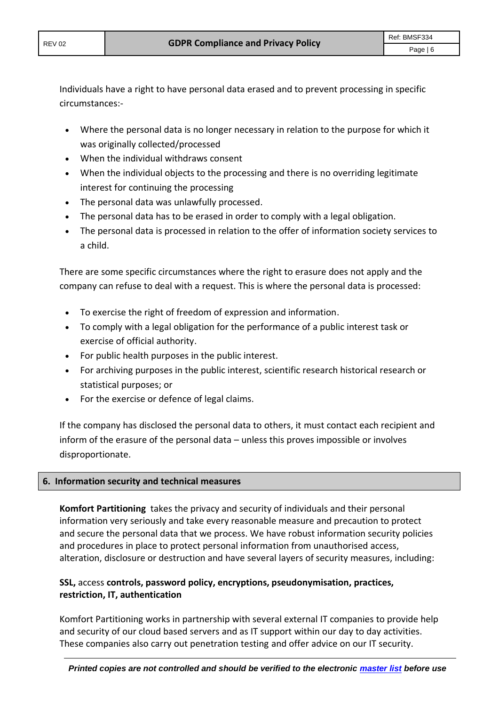Individuals have a right to have personal data erased and to prevent processing in specific circumstances:-

- Where the personal data is no longer necessary in relation to the purpose for which it was originally collected/processed
- When the individual withdraws consent
- When the individual objects to the processing and there is no overriding legitimate interest for continuing the processing
- The personal data was unlawfully processed.
- The personal data has to be erased in order to comply with a legal obligation.
- The personal data is processed in relation to the offer of information society services to a child.

There are some specific circumstances where the right to erasure does not apply and the company can refuse to deal with a request. This is where the personal data is processed:

- To exercise the right of freedom of expression and information.
- To comply with a legal obligation for the performance of a public interest task or exercise of official authority.
- For public health purposes in the public interest.
- For archiving purposes in the public interest, scientific research historical research or statistical purposes; or
- For the exercise or defence of legal claims.

If the company has disclosed the personal data to others, it must contact each recipient and inform of the erasure of the personal data – unless this proves impossible or involves disproportionate.

# **6. Information security and technical measures**

**Komfort Partitioning** takes the privacy and security of individuals and their personal information very seriously and take every reasonable measure and precaution to protect and secure the personal data that we process. We have robust information security policies and procedures in place to protect personal information from unauthorised access, alteration, disclosure or destruction and have several layers of security measures, including:

# **SSL,** access **controls, password policy, encryptions, pseudonymisation, practices, restriction, IT, authentication**

Komfort Partitioning works in partnership with several external IT companies to provide help and security of our cloud based servers and as IT support within our day to day activities. These companies also carry out penetration testing and offer advice on our IT security.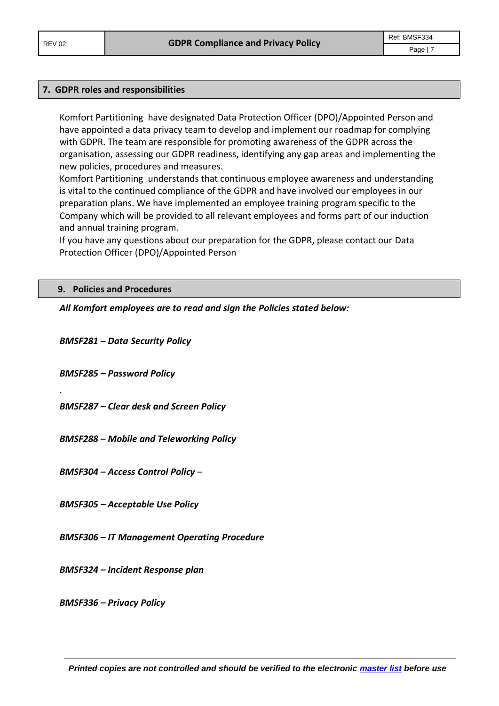#### **7. GDPR roles and responsibilities**

Komfort Partitioning have designated Data Protection Officer (DPO)/Appointed Person and have appointed a data privacy team to develop and implement our roadmap for complying with GDPR. The team are responsible for promoting awareness of the GDPR across the organisation, assessing our GDPR readiness, identifying any gap areas and implementing the new policies, procedures and measures.

Komfort Partitioning understands that continuous employee awareness and understanding is vital to the continued compliance of the GDPR and have involved our employees in our preparation plans. We have implemented an employee training program specific to the Company which will be provided to all relevant employees and forms part of our induction and annual training program.

If you have any questions about our preparation for the GDPR, please contact our Data Protection Officer (DPO)/Appointed Person

#### **9. Policies and Procedures**

*All Komfort employees are to read and sign the Policies stated below:*

*BMSF281 – Data Security Policy*

*BMSF285 – Password Policy*

.

*BMSF287 – Clear desk and Screen Policy*

*BMSF288 – Mobile and Teleworking Policy*

*BMSF304 – Access Control Policy* –

*BMSF305 – Acceptable Use Policy*

*BMSF306 – IT Management Operating Procedure*

*BMSF324 – Incident Response plan*

*BMSF336 – Privacy Policy*